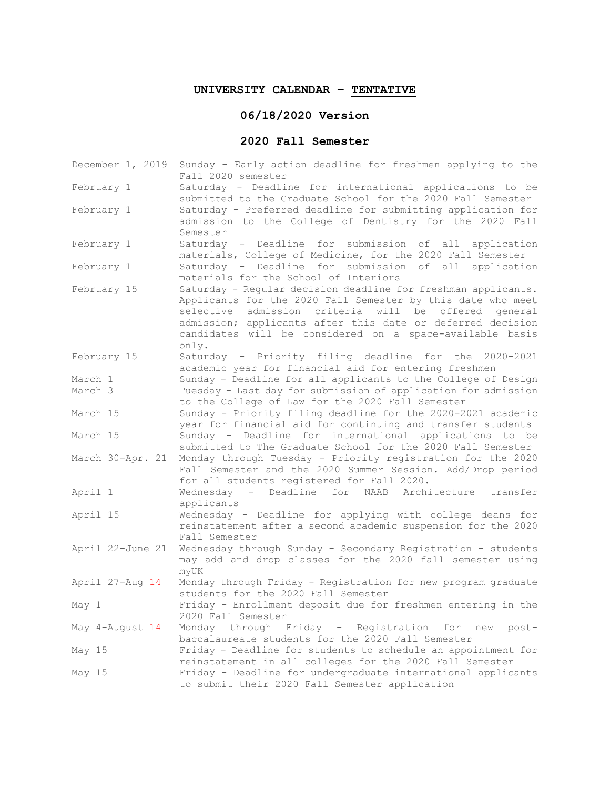## **UNIVERSITY CALENDAR – TENTATIVE**

## **06/18/2020 Version**

## **2020 Fall Semester**

| December 1, 2019 | Sunday - Early action deadline for freshmen applying to the<br>Fall 2020 semester                                       |
|------------------|-------------------------------------------------------------------------------------------------------------------------|
| February 1       | Saturday - Deadline for international applications to be<br>submitted to the Graduate School for the 2020 Fall Semester |
| February 1       | Saturday - Preferred deadline for submitting application for                                                            |
|                  | admission to the College of Dentistry for the 2020 Fall                                                                 |
|                  | Semester                                                                                                                |
| February 1       | Saturday - Deadline for submission of all application<br>materials, College of Medicine, for the 2020 Fall Semester     |
| February 1       | Saturday - Deadline for submission of all application                                                                   |
|                  | materials for the School of Interiors                                                                                   |
| February 15      | Saturday - Regular decision deadline for freshman applicants.                                                           |
|                  | Applicants for the 2020 Fall Semester by this date who meet                                                             |
|                  | admission criteria will be offered general<br>selective                                                                 |
|                  | admission; applicants after this date or deferred decision                                                              |
|                  | candidates will be considered on a space-available basis<br>only.                                                       |
| February 15      | Saturday - Priority filing deadline for the 2020-2021                                                                   |
|                  | academic year for financial aid for entering freshmen                                                                   |
| March 1          | Sunday - Deadline for all applicants to the College of Design                                                           |
| March 3          | Tuesday - Last day for submission of application for admission                                                          |
|                  | to the College of Law for the 2020 Fall Semester                                                                        |
| March 15         | Sunday - Priority filing deadline for the 2020-2021 academic                                                            |
|                  | year for financial aid for continuing and transfer students                                                             |
| March 15         | Sunday - Deadline for international applications to be                                                                  |
|                  | submitted to The Graduate School for the 2020 Fall Semester                                                             |
| March 30-Apr. 21 | Monday through Tuesday - Priority registration for the 2020                                                             |
|                  | Fall Semester and the 2020 Summer Session. Add/Drop period                                                              |
|                  | for all students registered for Fall 2020.                                                                              |
| April 1          | Wednesday - Deadline for NAAB Architecture transfer                                                                     |
|                  | applicants                                                                                                              |
| April 15         | Wednesday - Deadline for applying with college deans for                                                                |
|                  | reinstatement after a second academic suspension for the 2020<br>Fall Semester                                          |
| April 22-June 21 | Wednesday through Sunday - Secondary Registration - students                                                            |
|                  | may add and drop classes for the 2020 fall semester using                                                               |
|                  | myUK                                                                                                                    |
| April 27-Aug 14  | Monday through Friday - Registration for new program graduate                                                           |
|                  | students for the 2020 Fall Semester                                                                                     |
| May 1            | Friday - Enrollment deposit due for freshmen entering in the                                                            |
|                  | 2020 Fall Semester                                                                                                      |
| May 4-August 14  | Monday through Friday - Registration for new post-                                                                      |
|                  | baccalaureate students for the 2020 Fall Semester                                                                       |
| May 15           | Friday - Deadline for students to schedule an appointment for                                                           |
|                  | reinstatement in all colleges for the 2020 Fall Semester                                                                |
| May 15           | Friday - Deadline for undergraduate international applicants                                                            |
|                  | to submit their 2020 Fall Semester application                                                                          |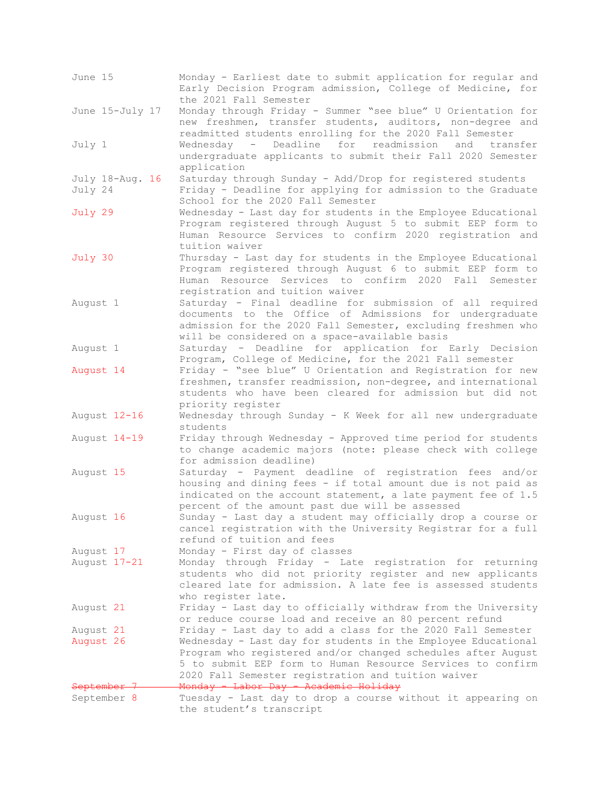| June 15                    | Monday - Earliest date to submit application for regular and<br>Early Decision Program admission, College of Medicine, for<br>the 2021 Fall Semester                                                                                                                                                             |
|----------------------------|------------------------------------------------------------------------------------------------------------------------------------------------------------------------------------------------------------------------------------------------------------------------------------------------------------------|
| June 15-July 17            | Monday through Friday - Summer "see blue" U Orientation for<br>new freshmen, transfer students, auditors, non-degree and<br>readmitted students enrolling for the 2020 Fall Semester                                                                                                                             |
| July 1                     | Wednesday - Deadline for readmission and transfer<br>undergraduate applicants to submit their Fall 2020 Semester<br>application                                                                                                                                                                                  |
| July 18-Aug. 16<br>July 24 | Saturday through Sunday - Add/Drop for registered students<br>Friday - Deadline for applying for admission to the Graduate<br>School for the 2020 Fall Semester                                                                                                                                                  |
| July 29                    | Wednesday - Last day for students in the Employee Educational<br>Program registered through August 5 to submit EEP form to<br>Human Resource Services to confirm 2020 registration and<br>tuition waiver                                                                                                         |
| July 30                    | Thursday - Last day for students in the Employee Educational<br>Program registered through August 6 to submit EEP form to<br>Human Resource Services to confirm 2020 Fall Semester<br>registration and tuition waiver                                                                                            |
| August 1                   | Saturday - Final deadline for submission of all required<br>documents to the Office of Admissions for undergraduate<br>admission for the 2020 Fall Semester, excluding freshmen who<br>will be considered on a space-available basis                                                                             |
| August 1                   | Saturday - Deadline for application for Early Decision<br>Program, College of Medicine, for the 2021 Fall semester                                                                                                                                                                                               |
| August 14                  | Friday - "see blue" U Orientation and Registration for new<br>freshmen, transfer readmission, non-degree, and international<br>students who have been cleared for admission but did not<br>priority register                                                                                                     |
| August 12-16               | Wednesday through Sunday - K Week for all new undergraduate<br>students                                                                                                                                                                                                                                          |
| August 14-19               | Friday through Wednesday - Approved time period for students<br>to change academic majors (note: please check with college<br>for admission deadline)                                                                                                                                                            |
| August 15                  | Saturday - Payment deadline of registration fees and/or<br>housing and dining fees - if total amount due is not paid as<br>indicated on the account statement, a late payment fee of 1.5<br>percent of the amount past due will be assessed                                                                      |
| August 16                  | Sunday - Last day a student may officially drop a course or<br>cancel registration with the University Registrar for a full<br>refund of tuition and fees                                                                                                                                                        |
| August 17                  | Monday - First day of classes                                                                                                                                                                                                                                                                                    |
| August 17-21               | Monday through Friday - Late registration for returning<br>students who did not priority register and new applicants<br>cleared late for admission. A late fee is assessed students<br>who register late.                                                                                                        |
| August 21                  | Friday - Last day to officially withdraw from the University<br>or reduce course load and receive an 80 percent refund                                                                                                                                                                                           |
| August 21<br>August 26     | Friday - Last day to add a class for the 2020 Fall Semester<br>Wednesday - Last day for students in the Employee Educational<br>Program who registered and/or changed schedules after August<br>5 to submit EEP form to Human Resource Services to confirm<br>2020 Fall Semester registration and tuition waiver |
| Septeml<br>September 8     | Monday - Labor Day - Academic Holiday<br>Tuesday - Last day to drop a course without it appearing on                                                                                                                                                                                                             |
|                            | the student's transcript                                                                                                                                                                                                                                                                                         |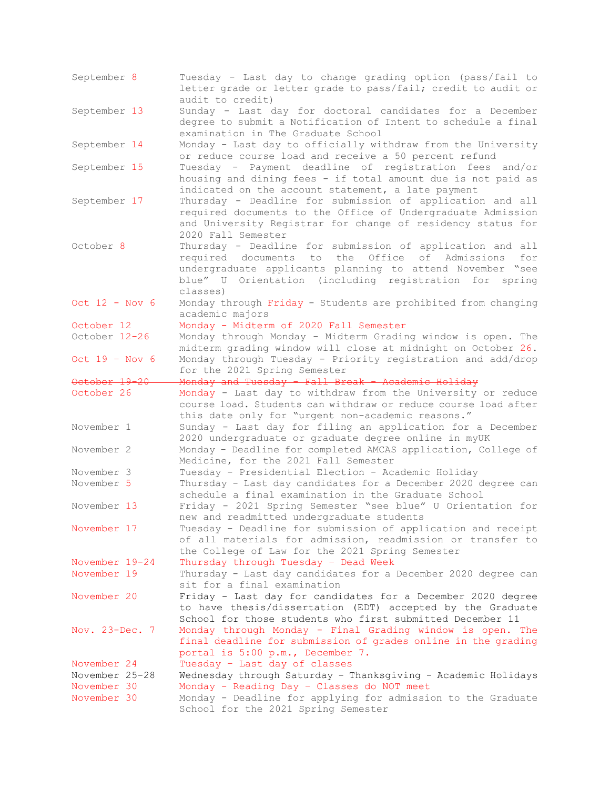| September 8                   | Tuesday - Last day to change grading option (pass/fail to<br>letter grade or letter grade to pass/fail; credit to audit or<br>audit to credit)                                                                                                        |  |  |  |  |  |  |  |
|-------------------------------|-------------------------------------------------------------------------------------------------------------------------------------------------------------------------------------------------------------------------------------------------------|--|--|--|--|--|--|--|
| September 13                  | Sunday - Last day for doctoral candidates for a December<br>degree to submit a Notification of Intent to schedule a final<br>examination in The Graduate School                                                                                       |  |  |  |  |  |  |  |
| September 14                  | Monday - Last day to officially withdraw from the University<br>or reduce course load and receive a 50 percent refund                                                                                                                                 |  |  |  |  |  |  |  |
| September 15                  | Tuesday - Payment deadline of registration fees and/or<br>housing and dining fees - if total amount due is not paid as<br>indicated on the account statement, a late payment                                                                          |  |  |  |  |  |  |  |
| September 17                  | Thursday - Deadline for submission of application and all<br>required documents to the Office of Undergraduate Admission<br>and University Registrar for change of residency status for<br>2020 Fall Semester                                         |  |  |  |  |  |  |  |
| October <sub>8</sub>          | Thursday - Deadline for submission of application and all<br>required documents to the Office of Admissions<br>for<br>undergraduate applicants planning to attend November "see<br>blue" U Orientation (including registration for spring<br>classes) |  |  |  |  |  |  |  |
| Oct $12 - Nov 6$              | Monday through Friday - Students are prohibited from changing<br>academic majors                                                                                                                                                                      |  |  |  |  |  |  |  |
| October 12                    | Monday - Midterm of 2020 Fall Semester                                                                                                                                                                                                                |  |  |  |  |  |  |  |
| October 12-26                 | Monday through Monday - Midterm Grading window is open. The<br>midterm grading window will close at midnight on October 26.                                                                                                                           |  |  |  |  |  |  |  |
| Oct $19 - Nov 6$              | Monday through Tuesday - Priority registration and add/drop<br>for the 2021 Spring Semester                                                                                                                                                           |  |  |  |  |  |  |  |
| October 19-20                 | Monday and Tuesday - Fall Break - Academic Holiday                                                                                                                                                                                                    |  |  |  |  |  |  |  |
| October 26                    | Monday - Last day to withdraw from the University or reduce<br>course load. Students can withdraw or reduce course load after<br>this date only for "urgent non-academic reasons."                                                                    |  |  |  |  |  |  |  |
| November 1                    | Sunday - Last day for filing an application for a December<br>2020 undergraduate or graduate degree online in myUK                                                                                                                                    |  |  |  |  |  |  |  |
| November 2                    | Monday - Deadline for completed AMCAS application, College of<br>Medicine, for the 2021 Fall Semester                                                                                                                                                 |  |  |  |  |  |  |  |
| November 3                    | Tuesday - Presidential Election - Academic Holiday                                                                                                                                                                                                    |  |  |  |  |  |  |  |
| November 5                    | Thursday - Last day candidates for a December 2020 degree can<br>schedule a final examination in the Graduate School                                                                                                                                  |  |  |  |  |  |  |  |
| November 13                   | Friday - 2021 Spring Semester "see blue" U Orientation for<br>new and readmitted undergraduate students                                                                                                                                               |  |  |  |  |  |  |  |
| November 17                   | Tuesday - Deadline for submission of application and receipt<br>of all materials for admission, readmission or transfer to<br>the College of Law for the 2021 Spring Semester                                                                         |  |  |  |  |  |  |  |
| November 19-24<br>November 19 | Thursday through Tuesday - Dead Week<br>Thursday - Last day candidates for a December 2020 degree can<br>sit for a final examination                                                                                                                  |  |  |  |  |  |  |  |
| November 20                   | Friday - Last day for candidates for a December 2020 degree<br>to have thesis/dissertation (EDT) accepted by the Graduate                                                                                                                             |  |  |  |  |  |  |  |
| Nov. 23-Dec. 7                | School for those students who first submitted December 11<br>Monday through Monday - Final Grading window is open. The                                                                                                                                |  |  |  |  |  |  |  |
|                               | final deadline for submission of grades online in the grading<br>portal is 5:00 p.m., December 7.                                                                                                                                                     |  |  |  |  |  |  |  |
| November 24                   | Tuesday - Last day of classes                                                                                                                                                                                                                         |  |  |  |  |  |  |  |
| November 25-28<br>November 30 | Wednesday through Saturday - Thanksgiving - Academic Holidays<br>Monday - Reading Day - Classes do NOT meet                                                                                                                                           |  |  |  |  |  |  |  |